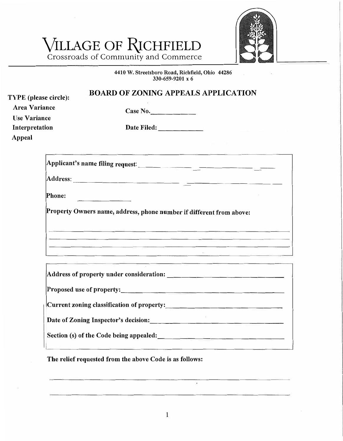## VILLAGE OF RICHFIELD



Crossroads of Community and Commerce

## **4410 W. Streetsboro Road, Richfield, Ohio 44286 330-659-9201 <sup>X</sup>6**

| <b>TYPE</b> (please circle):                | <b>BOARD OF ZONING APPEALS APPLICATION</b>                                                                                                                                                                                                                                                                                                                                                                                                                                                                                                            |
|---------------------------------------------|-------------------------------------------------------------------------------------------------------------------------------------------------------------------------------------------------------------------------------------------------------------------------------------------------------------------------------------------------------------------------------------------------------------------------------------------------------------------------------------------------------------------------------------------------------|
| <b>Area Variance</b><br><b>Use Variance</b> | Case No.                                                                                                                                                                                                                                                                                                                                                                                                                                                                                                                                              |
| Interpretation<br>Appeal                    | Date Filed: _________                                                                                                                                                                                                                                                                                                                                                                                                                                                                                                                                 |
|                                             |                                                                                                                                                                                                                                                                                                                                                                                                                                                                                                                                                       |
|                                             |                                                                                                                                                                                                                                                                                                                                                                                                                                                                                                                                                       |
| Phone:                                      | <b>Contract Contract Contract Contract Contract Contract Contract Contract Contract Contract Contract Contract Contract Contract Contract Contract Contract Contract Contract Contract Contract Contract Contract Contract Contr</b>                                                                                                                                                                                                                                                                                                                  |
|                                             | Property Owners name, address, phone number if different from above:<br><u> 1980 - An Aonaichte ann an Cathair ann an Cathair ann an Cathair ann an Cathair an Cathair an C</u><br>- 2000년 - 2000년 - 2000년 - 2000년 - 2000년 - 2000년 - 2000년 - 2000년 - 2000년 - 2000년 - 2000년 - 2000년 - 2000년 - 2000<br><u> List de la componentación de la componentación de la componentación de la componentación de la componentación</u><br><u> 2005 - An Dùbhlachd ann an Chuid anns an Chuid anns an Chuid anns an Chuid anns an Chuid anns an Chuid anns an </u> |
|                                             |                                                                                                                                                                                                                                                                                                                                                                                                                                                                                                                                                       |
|                                             | Proposed use of property:                                                                                                                                                                                                                                                                                                                                                                                                                                                                                                                             |
|                                             |                                                                                                                                                                                                                                                                                                                                                                                                                                                                                                                                                       |
|                                             | Date of Zoning Inspector's decision:<br><u>Date of Zoning Inspector's decision:</u>                                                                                                                                                                                                                                                                                                                                                                                                                                                                   |
|                                             |                                                                                                                                                                                                                                                                                                                                                                                                                                                                                                                                                       |

**The relief requested f <sup>r</sup>om the above Code is as follows:** 

 $\cdot$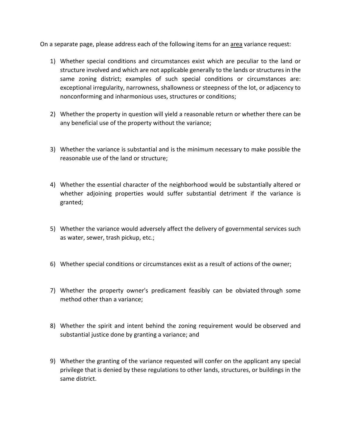On a separate page, please address each of the following items for an area variance request:

- 1) Whether special conditions and circumstances exist which are peculiar to the land or structure involved and which are not applicable generally to the lands or structures in the same zoning district; examples of such special conditions or circumstances are: exceptional irregularity, narrowness, shallowness or steepness of the lot, or adjacency to nonconforming and inharmonious uses, structures or conditions;
- 2) Whether the property in question will yield a reasonable return or whether there can be any beneficial use of the property without the variance;
- 3) Whether the variance is substantial and is the minimum necessary to make possible the reasonable use of the land or structure;
- 4) Whether the essential character of the neighborhood would be substantially altered or whether adjoining properties would suffer substantial detriment if the variance is granted;
- 5) Whether the variance would adversely affect the delivery of governmental services such as water, sewer, trash pickup, etc.;
- 6) Whether special conditions or circumstances exist as a result of actions of the owner;
- 7) Whether the property owner's predicament feasibly can be obviated through some method other than a variance;
- 8) Whether the spirit and intent behind the zoning requirement would be observed and substantial justice done by granting a variance; and
- 9) Whether the granting of the variance requested will confer on the applicant any special privilege that is denied by these regulations to other lands, structures, or buildings in the same district.